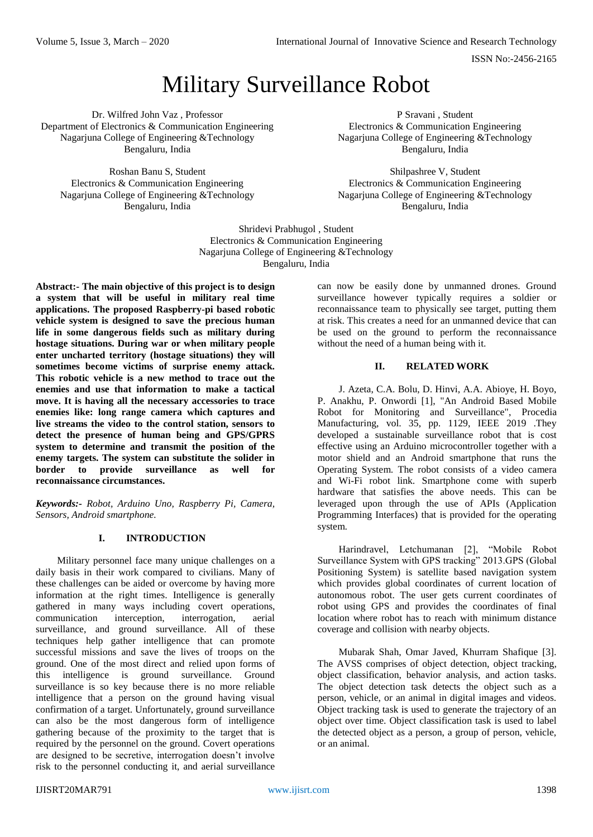Volume 5, Issue 3, March – 2020 **International Journal of Innovative Science and Research Technology** 

ISSN No:-2456-2165

# Military Surveillance Robot

Dr. Wilfred John Vaz , Professor Department of Electronics & Communication Engineering Nagarjuna College of Engineering &Technology Bengaluru, India

Roshan Banu S, Student Electronics & Communication Engineering Nagarjuna College of Engineering &Technology Bengaluru, India

P Sravani , Student Electronics & Communication Engineering Nagarjuna College of Engineering &Technology Bengaluru, India

Shilpashree V, Student Electronics & Communication Engineering Nagarjuna College of Engineering &Technology Bengaluru, India

Shridevi Prabhugol , Student Electronics & Communication Engineering Nagarjuna College of Engineering &Technology Bengaluru, India

**Abstract:- The main objective of this project is to design a system that will be useful in military real time applications. The proposed Raspberry-pi based robotic vehicle system is designed to save the precious human life in some dangerous fields such as military during hostage situations. During war or when military people enter uncharted territory (hostage situations) they will sometimes become victims of surprise enemy attack. This robotic vehicle is a new method to trace out the enemies and use that information to make a tactical move. It is having all the necessary accessories to trace enemies like: long range camera which captures and live streams the video to the control station, sensors to detect the presence of human being and GPS/GPRS system to determine and transmit the position of the enemy targets. The system can substitute the solider in border to provide surveillance as well for reconnaissance circumstances.**

*Keywords:- Robot, Arduino Uno, Raspberry Pi, Camera, Sensors, Android smartphone.*

# **I. INTRODUCTION**

Military personnel face many unique challenges on a daily basis in their work compared to civilians. Many of these challenges can be aided or overcome by having more information at the right times. Intelligence is generally gathered in many ways including covert operations, communication interception, interrogation, aerial surveillance, and ground surveillance. All of these techniques help gather intelligence that can promote successful missions and save the lives of troops on the ground. One of the most direct and relied upon forms of this intelligence is ground surveillance. Ground surveillance is so key because there is no more reliable intelligence that a person on the ground having visual confirmation of a target. Unfortunately, ground surveillance can also be the most dangerous form of intelligence gathering because of the proximity to the target that is required by the personnel on the ground. Covert operations are designed to be secretive, interrogation doesn't involve risk to the personnel conducting it, and aerial surveillance

can now be easily done by unmanned drones. Ground surveillance however typically requires a soldier or reconnaissance team to physically see target, putting them at risk. This creates a need for an unmanned device that can be used on the ground to perform the reconnaissance without the need of a human being with it.

## **II. RELATED WORK**

J. Azeta, C.A. Bolu, D. Hinvi, A.A. Abioye, H. Boyo, P. Anakhu, P. Onwordi [1], "An Android Based Mobile Robot for Monitoring and Surveillance", Procedia Manufacturing, vol. 35, pp. 1129, IEEE 2019 .They developed a sustainable surveillance robot that is cost effective using an Arduino microcontroller together with a motor shield and an Android smartphone that runs the Operating System. The robot consists of a video camera and Wi-Fi robot link. Smartphone come with superb hardware that satisfies the above needs. This can be leveraged upon through the use of APIs (Application Programming Interfaces) that is provided for the operating system.

Harindravel, Letchumanan [2], "Mobile Robot Surveillance System with GPS tracking" 2013.GPS (Global Positioning System) is satellite based navigation system which provides global coordinates of current location of autonomous robot. The user gets current coordinates of robot using GPS and provides the coordinates of final location where robot has to reach with minimum distance coverage and collision with nearby objects.

Mubarak Shah, Omar Javed, Khurram Shafique [3]. The AVSS comprises of object detection, object tracking, object classification, behavior analysis, and action tasks. The object detection task detects the object such as a person, vehicle, or an animal in digital images and videos. Object tracking task is used to generate the trajectory of an object over time. Object classification task is used to label the detected object as a person, a group of person, vehicle, or an animal.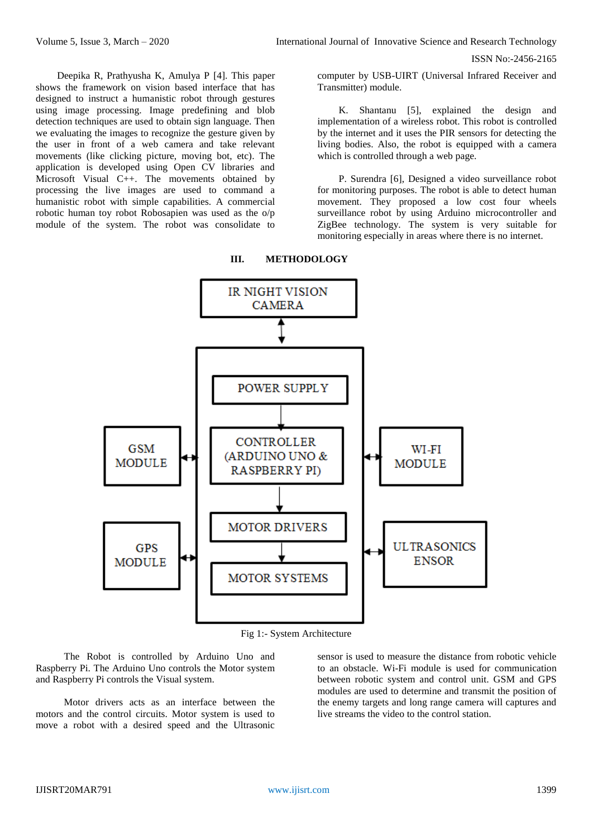ISSN No:-2456-2165

Deepika R, Prathyusha K, Amulya P [4]. This paper shows the framework on vision based interface that has designed to instruct a humanistic robot through gestures using image processing. Image predefining and blob detection techniques are used to obtain sign language. Then we evaluating the images to recognize the gesture given by the user in front of a web camera and take relevant movements (like clicking picture, moving bot, etc). The application is developed using Open CV libraries and Microsoft Visual C++. The movements obtained by processing the live images are used to command a humanistic robot with simple capabilities. A commercial robotic human toy robot Robosapien was used as the o/p module of the system. The robot was consolidate to

computer by USB-UIRT (Universal Infrared Receiver and Transmitter) module.

K. Shantanu [5], explained the design and implementation of a wireless robot. This robot is controlled by the internet and it uses the PIR sensors for detecting the living bodies. Also, the robot is equipped with a camera which is controlled through a web page.

P. Surendra [6], Designed a video surveillance robot for monitoring purposes. The robot is able to detect human movement. They proposed a low cost four wheels surveillance robot by using Arduino microcontroller and ZigBee technology. The system is very suitable for monitoring especially in areas where there is no internet.



#### **III. METHODOLOGY**

Fig 1:- System Architecture

The Robot is controlled by Arduino Uno and Raspberry Pi. The Arduino Uno controls the Motor system and Raspberry Pi controls the Visual system.

Motor drivers acts as an interface between the motors and the control circuits. Motor system is used to move a robot with a desired speed and the Ultrasonic

sensor is used to measure the distance from robotic vehicle to an obstacle. Wi-Fi module is used for communication between robotic system and control unit. GSM and GPS modules are used to determine and transmit the position of the enemy targets and long range camera will captures and live streams the video to the control station.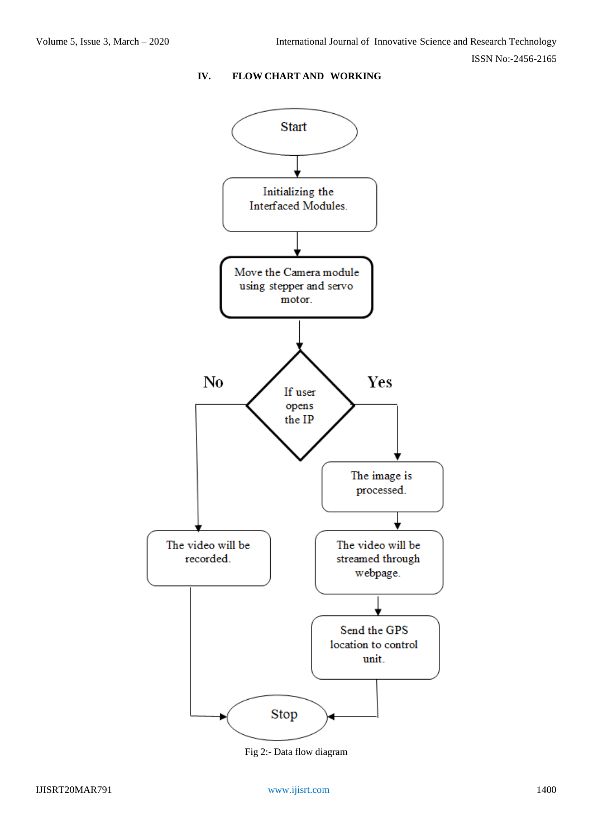ISSN No:-2456-2165

# **IV. FLOW CHART AND WORKING**



Fig 2:- Data flow diagram